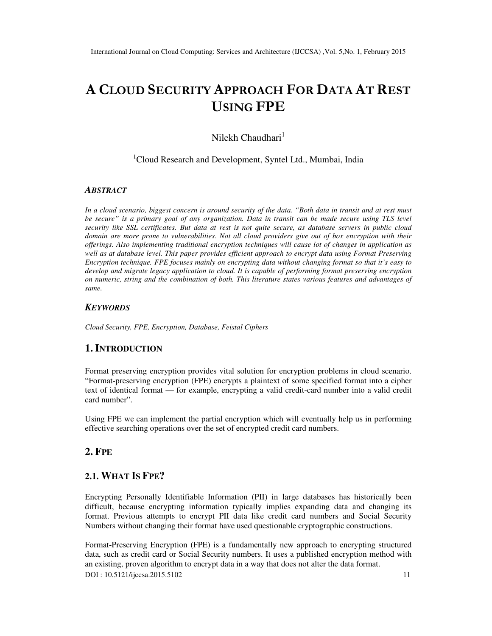# **A CLOUD SECURITY APPROACH FOR DATA AT REST USING FPE**

Nilekh Chaudhari $<sup>1</sup>$ </sup>

<sup>1</sup>Cloud Research and Development, Syntel Ltd., Mumbai, India

#### *ABSTRACT*

*In a cloud scenario, biggest concern is around security of the data. "Both data in transit and at rest must be secure" is a primary goal of any organization. Data in transit can be made secure using TLS level security like SSL certificates. But data at rest is not quite secure, as database servers in public cloud domain are more prone to vulnerabilities. Not all cloud providers give out of box encryption with their offerings. Also implementing traditional encryption techniques will cause lot of changes in application as well as at database level. This paper provides efficient approach to encrypt data using Format Preserving Encryption technique. FPE focuses mainly on encrypting data without changing format so that it's easy to develop and migrate legacy application to cloud. It is capable of performing format preserving encryption on numeric, string and the combination of both. This literature states various features and advantages of same.* 

#### *KEYWORDS*

*Cloud Security, FPE, Encryption, Database, Feistal Ciphers* 

#### **1. INTRODUCTION**

Format preserving encryption provides vital solution for encryption problems in cloud scenario. "Format-preserving encryption (FPE) encrypts a plaintext of some specified format into a cipher text of identical format — for example, encrypting a valid credit-card number into a valid credit card number".

Using FPE we can implement the partial encryption which will eventually help us in performing effective searching operations over the set of encrypted credit card numbers.

## **2. FPE**

## **2.1. WHAT IS FPE?**

Encrypting Personally Identifiable Information (PII) in large databases has historically been difficult, because encrypting information typically implies expanding data and changing its format. Previous attempts to encrypt PII data like credit card numbers and Social Security Numbers without changing their format have used questionable cryptographic constructions.

DOI : 10.5121/ijccsa.2015.5102 11 Format-Preserving Encryption (FPE) is a fundamentally new approach to encrypting structured data, such as credit card or Social Security numbers. It uses a published encryption method with an existing, proven algorithm to encrypt data in a way that does not alter the data format.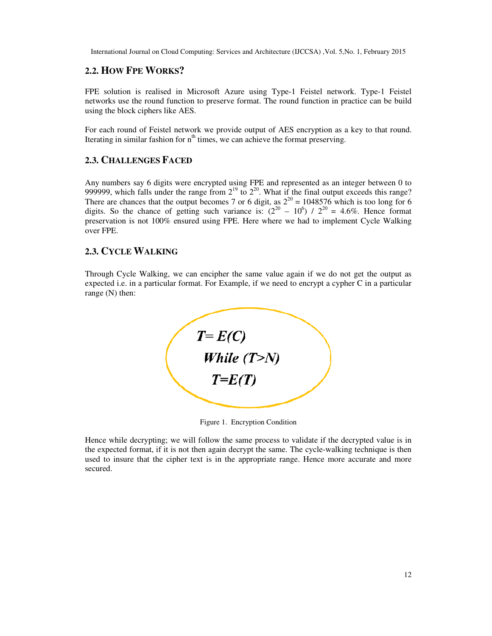## **2.2. HOW FPE WORKS?**

FPE solution is realised in Microsoft Azure using Type-1 Feistel network. Type-1 Feistel networks use the round function to preserve format. The round function in practice can be build using the block ciphers like AES.

For each round of Feistel network we provide output of AES encryption as a key to that round. Iterating in similar fashion for  $n<sup>th</sup>$  times, we can achieve the format preserving.

#### **2.3. CHALLENGES FACED**

Any numbers say 6 digits were encrypted using FPE and represented as an integer between 0 to 999999, which falls under the range from  $2^{19}$  to  $2^{20}$ . What if the final output exceeds this range? There are chances that the output becomes 7 or 6 digit, as  $2^{20} = 1048576$  which is too long for 6 digits. So the chance of getting such variance is:  $(2^{20} – 10^6) / 2^{20} = 4.6\%$ . Hence format preservation is not 100% ensured using FPE. Here where we had to implement Cycle Walking over FPE.

## **2.3. CYCLE WALKING**

Through Cycle Walking, we can encipher the same value again if we do not get the output as expected i.e. in a particular format. For Example, if we need to encrypt a cypher C in a particular range (N) then:



Figure 1. Encryption Condition

Hence while decrypting; we will follow the same process to validate if the decrypted value is in the expected format, if it is not then again decrypt the same. The cycle-walking technique is then used to insure that the cipher text is in the appropriate range. Hence more accurate and more secured.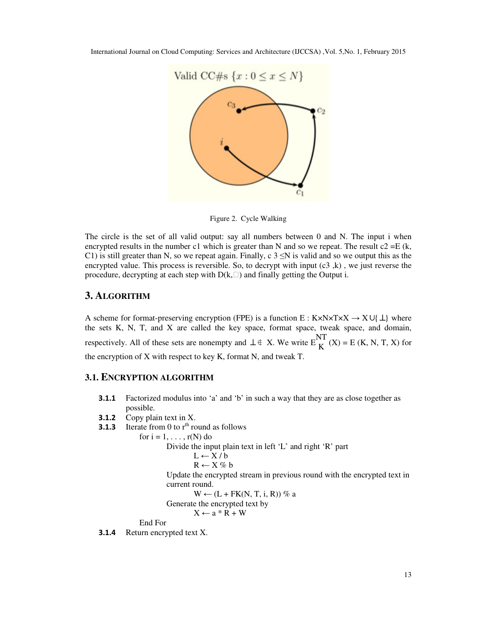

Figure 2. Cycle Walking

The circle is the set of all valid output: say all numbers between 0 and N. The input i when encrypted results in the number c1 which is greater than N and so we repeat. The result  $c2 = E (k,$ C1) is still greater than N, so we repeat again. Finally, c  $3 \le N$  is valid and so we output this as the encrypted value. This process is reversible. So, to decrypt with input  $(c3, k)$ , we just reverse the procedure, decrypting at each step with  $D(k, \Box)$  and finally getting the Output i.

#### **3. ALGORITHM**

A scheme for format-preserving encryption (FPE) is a function E : K×N×T×X  $\rightarrow$  X∪{  $\perp$ } where the sets K, N, T, and X are called the key space, format space, tweak space, and domain, respectively. All of these sets are nonempty and  $\perp \notin X$ . We write  $E\{NTK}(X) = E(K, N, T, X)$  for the encryption of X with respect to key K, format N, and tweak T.

#### **3.1. ENCRYPTION ALGORITHM**

- **3.1.1** Factorized modulus into 'a' and 'b' in such a way that they are as close together as possible.
- **3.1.2** Copy plain text in X.
- **3.1.3** Iterate from 0 to  $r<sup>th</sup>$  round as follows

for  $i = 1, \ldots, r(N)$  do Divide the input plain text in left 'L' and right 'R' part  $L \leftarrow X/b$  $R \leftarrow X \% b$ Update the encrypted stream in previous round with the encrypted text in current round.  $W \leftarrow (L + FK(N, T, i, R))$  % a Generate the encrypted text by  $X \leftarrow a * R + W$ 

End For

**3.1.4** Return encrypted text X.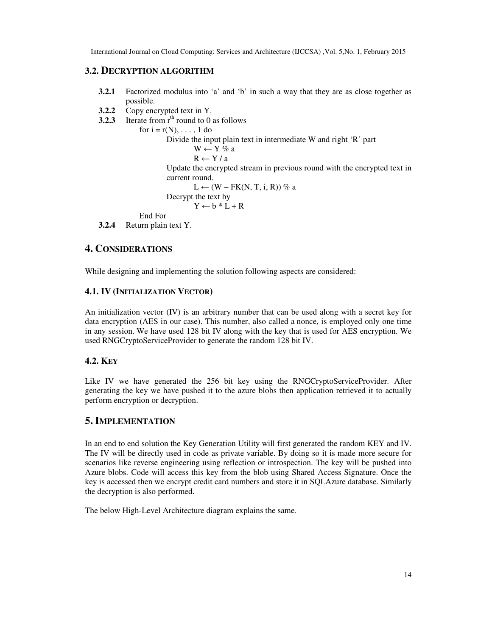## **3.2. DECRYPTION ALGORITHM**

- **3.2.1** Factorized modulus into 'a' and 'b' in such a way that they are as close together as possible.
- **3.2.2** Copy encrypted text in Y.
- **3.2.3** Iterate from  $r<sup>th</sup>$  round to 0 as follows

for  $i = r(N), \ldots, 1$  do Divide the input plain text in intermediate W and right 'R' part  $W \leftarrow Y \% a$  $R \leftarrow Y / a$ Update the encrypted stream in previous round with the encrypted text in current round.  $L \leftarrow (W - FK(N, T, i, R))$  % a Decrypt the text by  $Y \leftarrow b * L + R$  End For **3.2.4** Return plain text Y.

## **4. CONSIDERATIONS**

While designing and implementing the solution following aspects are considered:

## **4.1. IV (INITIALIZATION VECTOR)**

An initialization vector (IV) is an arbitrary number that can be used along with a secret key for data encryption (AES in our case). This number, also called a nonce, is employed only one time in any session. We have used 128 bit IV along with the key that is used for AES encryption. We used RNGCryptoServiceProvider to generate the random 128 bit IV.

#### **4.2. KEY**

Like IV we have generated the 256 bit key using the RNGCryptoServiceProvider. After generating the key we have pushed it to the azure blobs then application retrieved it to actually perform encryption or decryption.

## **5. IMPLEMENTATION**

In an end to end solution the Key Generation Utility will first generated the random KEY and IV. The IV will be directly used in code as private variable. By doing so it is made more secure for scenarios like reverse engineering using reflection or introspection. The key will be pushed into Azure blobs. Code will access this key from the blob using Shared Access Signature. Once the key is accessed then we encrypt credit card numbers and store it in SQLAzure database. Similarly the decryption is also performed.

The below High-Level Architecture diagram explains the same.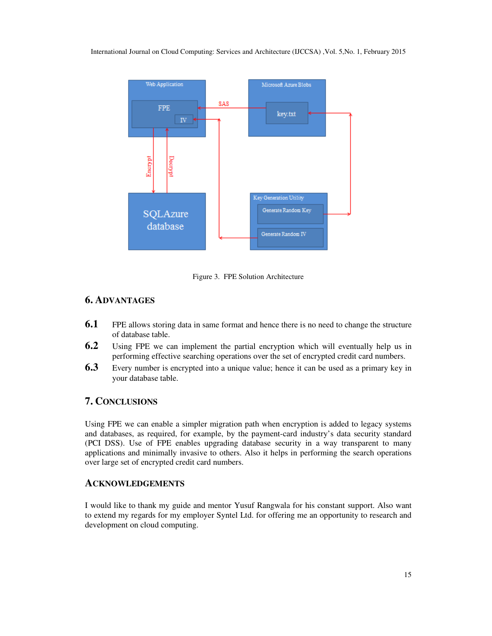

Figure 3. FPE Solution Architecture

## **6. ADVANTAGES**

- **6.1** FPE allows storing data in same format and hence there is no need to change the structure of database table.
- **6.2** Using FPE we can implement the partial encryption which will eventually help us in performing effective searching operations over the set of encrypted credit card numbers.
- **6.3** Every number is encrypted into a unique value; hence it can be used as a primary key in your database table.

## **7. CONCLUSIONS**

Using FPE we can enable a simpler migration path when encryption is added to legacy systems and databases, as required, for example, by the payment-card industry's data security standard (PCI DSS). Use of FPE enables upgrading database security in a way transparent to many applications and minimally invasive to others. Also it helps in performing the search operations over large set of encrypted credit card numbers.

## **ACKNOWLEDGEMENTS**

I would like to thank my guide and mentor Yusuf Rangwala for his constant support. Also want to extend my regards for my employer Syntel Ltd. for offering me an opportunity to research and development on cloud computing.